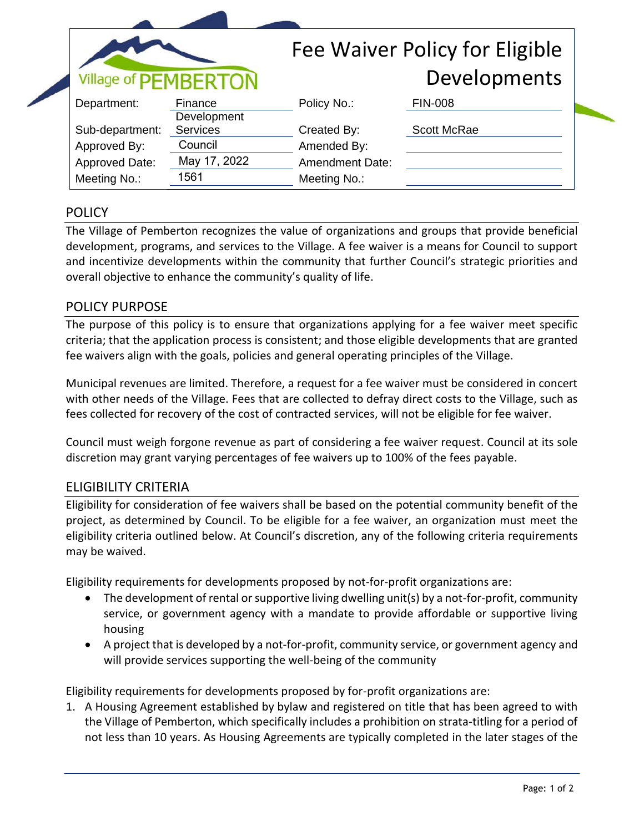| Village of PEMBERTON |                        | Fee Waiver Policy for Eligible |                    |
|----------------------|------------------------|--------------------------------|--------------------|
|                      |                        |                                | Developments       |
| Department:          | Finance<br>Development | Policy No.:                    | <b>FIN-008</b>     |
| Sub-department:      | <b>Services</b>        | Created By:                    | <b>Scott McRae</b> |
| Approved By:         | Council                | Amended By:                    |                    |
| Approved Date:       | May 17, 2022           | <b>Amendment Date:</b>         |                    |
| Meeting No.:         | 1561                   | Meeting No.:                   |                    |

## **POLICY**

The Village of Pemberton recognizes the value of organizations and groups that provide beneficial development, programs, and services to the Village. A fee waiver is a means for Council to support and incentivize developments within the community that further Council's strategic priorities and overall objective to enhance the community's quality of life.

## POLICY PURPOSE

The purpose of this policy is to ensure that organizations applying for a fee waiver meet specific criteria; that the application process is consistent; and those eligible developments that are granted fee waivers align with the goals, policies and general operating principles of the Village.

Municipal revenues are limited. Therefore, a request for a fee waiver must be considered in concert with other needs of the Village. Fees that are collected to defray direct costs to the Village, such as fees collected for recovery of the cost of contracted services, will not be eligible for fee waiver.

Council must weigh forgone revenue as part of considering a fee waiver request. Council at its sole discretion may grant varying percentages of fee waivers up to 100% of the fees payable.

## ELIGIBILITY CRITERIA

Eligibility for consideration of fee waivers shall be based on the potential community benefit of the project, as determined by Council. To be eligible for a fee waiver, an organization must meet the eligibility criteria outlined below. At Council's discretion, any of the following criteria requirements may be waived.

Eligibility requirements for developments proposed by not-for-profit organizations are:

- The development of rental or supportive living dwelling unit(s) by a not-for-profit, community service, or government agency with a mandate to provide affordable or supportive living housing
- A project that is developed by a not-for-profit, community service, or government agency and will provide services supporting the well-being of the community

Eligibility requirements for developments proposed by for-profit organizations are:

1. A Housing Agreement established by bylaw and registered on title that has been agreed to with the Village of Pemberton, which specifically includes a prohibition on strata-titling for a period of not less than 10 years. As Housing Agreements are typically completed in the later stages of the